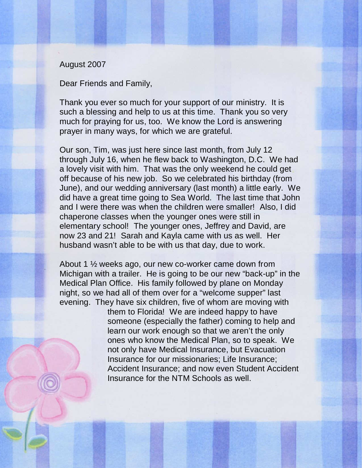## August 2007

## Dear Friends and Family,

Thank you ever so much for your support of our ministry. It is such a blessing and help to us at this time. Thank you so very much for praying for us, too. We know the Lord is answering prayer in many ways, for which we are grateful.

Our son, Tim, was just here since last month, from July 12 through July 16, when he flew back to Washington, D.C. We had a lovely visit with him. That was the only weekend he could get off because of his new job. So we celebrated his birthday (from June), and our wedding anniversary (last month) a little early. We did have a great time going to Sea World. The last time that John and I were there was when the children were smaller! Also, I did chaperone classes when the younger ones were still in elementary school! The younger ones, Jeffrey and David, are now 23 and 21! Sarah and Kayla came with us as well. Her husband wasn't able to be with us that day, due to work.

About 1 ½ weeks ago, our new co-worker came down from Michigan with a trailer. He is going to be our new "back-up" in the Medical Plan Office. His family followed by plane on Monday night, so we had all of them over for a "welcome supper" last evening. They have six children, five of whom are moving with

> them to Florida! We are indeed happy to have someone (especially the father) coming to help and learn our work enough so that we aren't the only ones who know the Medical Plan, so to speak. We not only have Medical Insurance, but Evacuation Insurance for our missionaries; Life Insurance; Accident Insurance; and now even Student Accident Insurance for the NTM Schools as well.